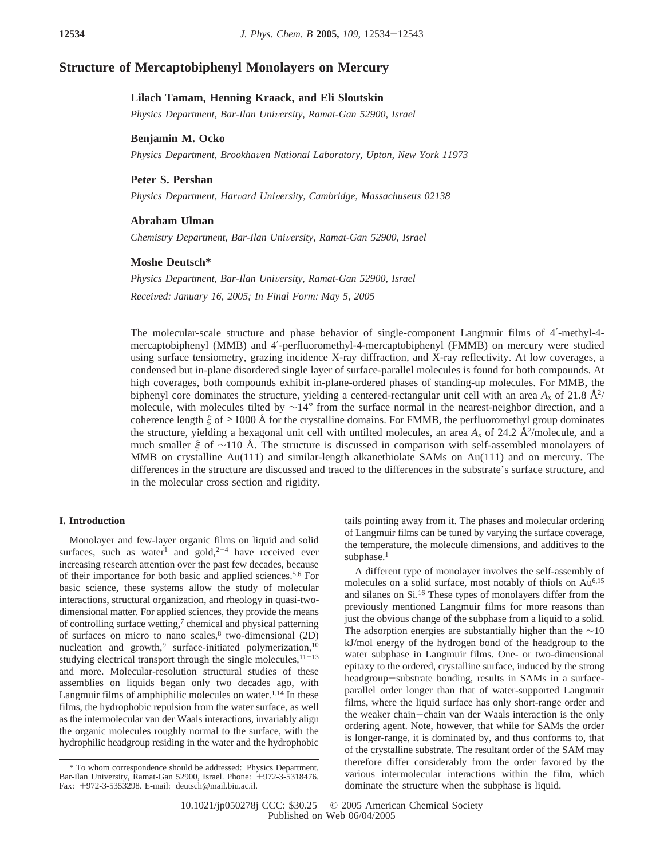# **Structure of Mercaptobiphenyl Monolayers on Mercury**

## **Lilach Tamam, Henning Kraack, and Eli Sloutskin**

*Physics Department, Bar-Ilan Uni*V*ersity, Ramat-Gan 52900, Israel*

### **Benjamin M. Ocko**

*Physics Department, Brookhaven National Laboratory, Upton, New York 11973* 

**Peter S. Pershan**

*Physics Department, Harvard University, Cambridge, Massachusetts 02138* 

### **Abraham Ulman**

*Chemistry Department, Bar-Ilan Uni*V*ersity, Ramat-Gan 52900, Israel*

### **Moshe Deutsch\***

*Physics Department, Bar-Ilan University, Ramat-Gan 52900, Israel Recei*V*ed: January 16, 2005; In Final Form: May 5, 2005*

The molecular-scale structure and phase behavior of single-component Langmuir films of 4′-methyl-4 mercaptobiphenyl (MMB) and 4′-perfluoromethyl-4-mercaptobiphenyl (FMMB) on mercury were studied using surface tensiometry, grazing incidence X-ray diffraction, and X-ray reflectivity. At low coverages, a condensed but in-plane disordered single layer of surface-parallel molecules is found for both compounds. At high coverages, both compounds exhibit in-plane-ordered phases of standing-up molecules. For MMB, the biphenyl core dominates the structure, yielding a centered-rectangular unit cell with an area  $A_x$  of 21.8  $\AA$ <sup>2</sup>/ molecule, with molecules tilted by ∼14° from the surface normal in the nearest-neighbor direction, and a coherence length  $\xi$  of  $>1000$  Å for the crystalline domains. For FMMB, the perfluoromethyl group dominates the structure, yielding a hexagonal unit cell with untilted molecules, an area  $A_x$  of 24.2  $\rm \AA^2/m$ olecule, and a much smaller *ê* of ∼110 Å. The structure is discussed in comparison with self-assembled monolayers of MMB on crystalline Au(111) and similar-length alkanethiolate SAMs on Au(111) and on mercury. The differences in the structure are discussed and traced to the differences in the substrate's surface structure, and in the molecular cross section and rigidity.

## **I. Introduction**

Monolayer and few-layer organic films on liquid and solid surfaces, such as water<sup>1</sup> and gold,<sup>2-4</sup> have received ever increasing research attention over the past few decades, because of their importance for both basic and applied sciences.5,6 For basic science, these systems allow the study of molecular interactions, structural organization, and rheology in quasi-twodimensional matter. For applied sciences, they provide the means of controlling surface wetting,7 chemical and physical patterning of surfaces on micro to nano scales, $8 \text{ two-dimensional } (2D)$ nucleation and growth,<sup>9</sup> surface-initiated polymerization,<sup>10</sup> studying electrical transport through the single molecules,  $11-13$ and more. Molecular-resolution structural studies of these assemblies on liquids began only two decades ago, with Langmuir films of amphiphilic molecules on water. $1,14$  In these films, the hydrophobic repulsion from the water surface, as well as the intermolecular van der Waals interactions, invariably align the organic molecules roughly normal to the surface, with the hydrophilic headgroup residing in the water and the hydrophobic

tails pointing away from it. The phases and molecular ordering of Langmuir films can be tuned by varying the surface coverage, the temperature, the molecule dimensions, and additives to the subphase.<sup>1</sup>

A different type of monolayer involves the self-assembly of molecules on a solid surface, most notably of thiols on  $Au<sup>6,15</sup>$ and silanes on Si.16 These types of monolayers differ from the previously mentioned Langmuir films for more reasons than just the obvious change of the subphase from a liquid to a solid. The adsorption energies are substantially higher than the  $~\sim 10$ kJ/mol energy of the hydrogen bond of the headgroup to the water subphase in Langmuir films. One- or two-dimensional epitaxy to the ordered, crystalline surface, induced by the strong headgroup-substrate bonding, results in SAMs in a surfaceparallel order longer than that of water-supported Langmuir films, where the liquid surface has only short-range order and the weaker chain-chain van der Waals interaction is the only ordering agent. Note, however, that while for SAMs the order is longer-range, it is dominated by, and thus conforms to, that of the crystalline substrate. The resultant order of the SAM may therefore differ considerably from the order favored by the various intermolecular interactions within the film, which dominate the structure when the subphase is liquid.

<sup>\*</sup> To whom correspondence should be addressed: Physics Department, Bar-Ilan University, Ramat-Gan 52900, Israel. Phone: +972-3-5318476. Fax: +972-3-5353298. E-mail: deutsch@mail.biu.ac.il.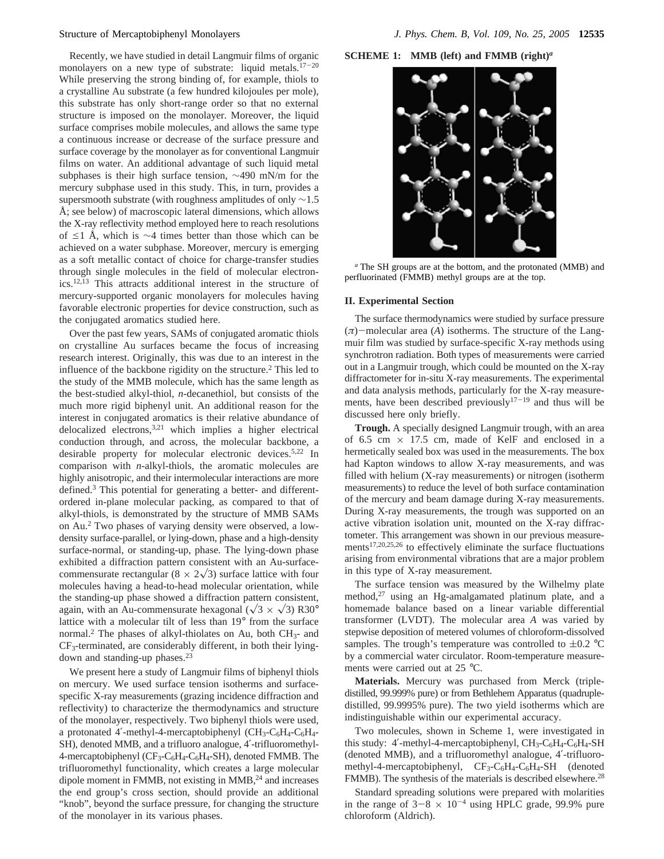Recently, we have studied in detail Langmuir films of organic monolayers on a new type of substrate: liquid metals.<sup>17-20</sup> While preserving the strong binding of, for example, thiols to a crystalline Au substrate (a few hundred kilojoules per mole), this substrate has only short-range order so that no external structure is imposed on the monolayer. Moreover, the liquid surface comprises mobile molecules, and allows the same type a continuous increase or decrease of the surface pressure and surface coverage by the monolayer as for conventional Langmuir films on water. An additional advantage of such liquid metal subphases is their high surface tension, ~490 mN/m for the mercury subphase used in this study. This, in turn, provides a supersmooth substrate (with roughness amplitudes of only ∼1.5 Å; see below) of macroscopic lateral dimensions, which allows the X-ray reflectivity method employed here to reach resolutions of ≤1 Å, which is ∼4 times better than those which can be achieved on a water subphase. Moreover, mercury is emerging as a soft metallic contact of choice for charge-transfer studies through single molecules in the field of molecular electronics.12,13 This attracts additional interest in the structure of mercury-supported organic monolayers for molecules having favorable electronic properties for device construction, such as the conjugated aromatics studied here.

Over the past few years, SAMs of conjugated aromatic thiols on crystalline Au surfaces became the focus of increasing research interest. Originally, this was due to an interest in the influence of the backbone rigidity on the structure.2 This led to the study of the MMB molecule, which has the same length as the best-studied alkyl-thiol, *n*-decanethiol, but consists of the much more rigid biphenyl unit. An additional reason for the interest in conjugated aromatics is their relative abundance of delocalized electrons,3,21 which implies a higher electrical conduction through, and across, the molecular backbone, a desirable property for molecular electronic devices.5,22 In comparison with *n*-alkyl-thiols, the aromatic molecules are highly anisotropic, and their intermolecular interactions are more defined.<sup>3</sup> This potential for generating a better- and differentordered in-plane molecular packing, as compared to that of alkyl-thiols, is demonstrated by the structure of MMB SAMs on Au.2 Two phases of varying density were observed, a lowdensity surface-parallel, or lying-down, phase and a high-density surface-normal, or standing-up, phase. The lying-down phase exhibited a diffraction pattern consistent with an Au-surfacecommensurate rectangular ( $8 \times 2\sqrt{3}$ ) surface lattice with four molecules having a head-to-head molecular orientation, while the standing-up phase showed a diffraction pattern consistent, again, with an Au-commensurate hexagonal ( $\sqrt{3} \times \sqrt{3}$ ) R30° lattice with a molecular tilt of less than 19° from the surface normal.2 The phases of alkyl-thiolates on Au, both CH3- and  $CF_3$ -terminated, are considerably different, in both their lyingdown and standing-up phases.23

We present here a study of Langmuir films of biphenyl thiols on mercury. We used surface tension isotherms and surfacespecific X-ray measurements (grazing incidence diffraction and reflectivity) to characterize the thermodynamics and structure of the monolayer, respectively. Two biphenyl thiols were used, a protonated 4'-methyl-4-mercaptobiphenyl ( $CH_3-C_6H_4-C_6H_4$ -SH), denoted MMB, and a trifluoro analogue, 4′-trifluoromethyl-4-mercaptobiphenyl ( $CF_3-C_6H_4-C_6H_4-SH$ ), denoted FMMB. The trifluoromethyl functionality, which creates a large molecular dipole moment in FMMB, not existing in MMB,<sup>24</sup> and increases the end group's cross section, should provide an additional "knob", beyond the surface pressure, for changing the structure of the monolayer in its various phases.

#### **SCHEME 1: MMB (left) and FMMB (right)***<sup>a</sup>*



*<sup>a</sup>* The SH groups are at the bottom, and the protonated (MMB) and perfluorinated (FMMB) methyl groups are at the top.

#### **II. Experimental Section**

The surface thermodynamics were studied by surface pressure  $(\pi)$ -molecular area (*A*) isotherms. The structure of the Langmuir film was studied by surface-specific X-ray methods using synchrotron radiation. Both types of measurements were carried out in a Langmuir trough, which could be mounted on the X-ray diffractometer for in-situ X-ray measurements. The experimental and data analysis methods, particularly for the X-ray measurements, have been described previously $17-19$  and thus will be discussed here only briefly.

**Trough.** A specially designed Langmuir trough, with an area of 6.5 cm  $\times$  17.5 cm, made of KelF and enclosed in a hermetically sealed box was used in the measurements. The box had Kapton windows to allow X-ray measurements, and was filled with helium (X-ray measurements) or nitrogen (isotherm measurements) to reduce the level of both surface contamination of the mercury and beam damage during X-ray measurements. During X-ray measurements, the trough was supported on an active vibration isolation unit, mounted on the X-ray diffractometer. This arrangement was shown in our previous measurements17,20,25,26 to effectively eliminate the surface fluctuations arising from environmental vibrations that are a major problem in this type of X-ray measurement.

The surface tension was measured by the Wilhelmy plate method,27 using an Hg-amalgamated platinum plate, and a homemade balance based on a linear variable differential transformer (LVDT). The molecular area *A* was varied by stepwise deposition of metered volumes of chloroform-dissolved samples. The trough's temperature was controlled to  $\pm 0.2$  °C by a commercial water circulator. Room-temperature measurements were carried out at 25 °C.

**Materials.** Mercury was purchased from Merck (tripledistilled, 99.999% pure) or from Bethlehem Apparatus (quadrupledistilled, 99.9995% pure). The two yield isotherms which are indistinguishable within our experimental accuracy.

Two molecules, shown in Scheme 1, were investigated in this study:  $4'$ -methyl-4-mercaptobiphenyl,  $CH_3$ - $C_6H_4$ - $C_6H_4$ -SH (denoted MMB), and a trifluoromethyl analogue, 4′-trifluoromethyl-4-mercaptobiphenyl,  $CF_3-C_6H_4-C_6H_4-SH$  (denoted FMMB). The synthesis of the materials is described elsewhere.<sup>28</sup>

Standard spreading solutions were prepared with molarities in the range of  $3-8 \times 10^{-4}$  using HPLC grade, 99.9% pure chloroform (Aldrich).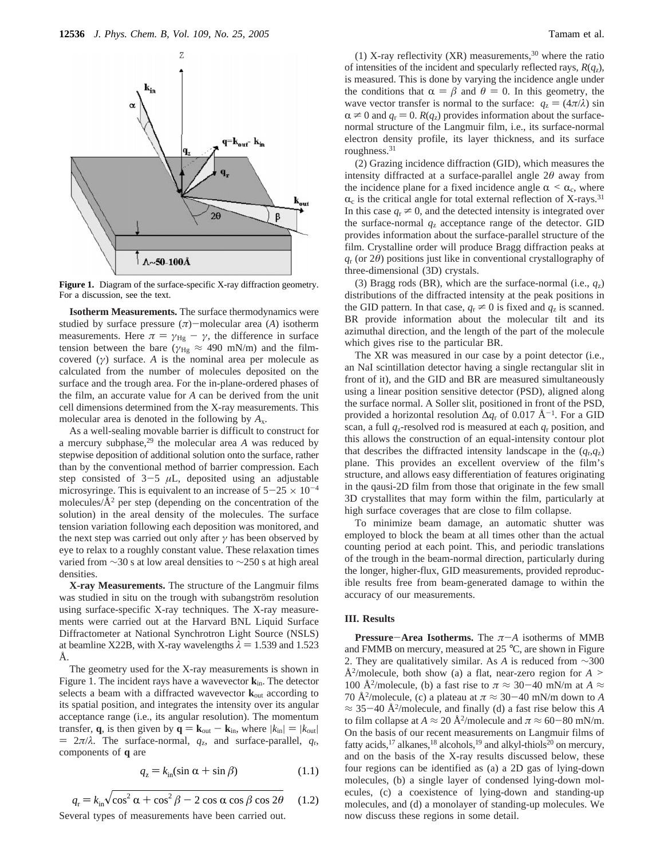

**Figure 1.** Diagram of the surface-specific X-ray diffraction geometry. For a discussion, see the text.

**Isotherm Measurements.** The surface thermodynamics were studied by surface pressure  $(\pi)$ -molecular area (A) isotherm measurements. Here  $\pi = \gamma_{\text{Hg}} - \gamma$ , the difference in surface<br>tension between the bare ( $\gamma_{\text{Hg}} \approx 490$  mN/m) and the filmcovered  $(\gamma)$  surface. *A* is the nominal area per molecule as calculated from the number of molecules deposited on the surface and the trough area. For the in-plane-ordered phases of the film, an accurate value for *A* can be derived from the unit cell dimensions determined from the X-ray measurements. This molecular area is denoted in the following by *A*x.

As a well-sealing movable barrier is difficult to construct for a mercury subphase,29 the molecular area *A* was reduced by stepwise deposition of additional solution onto the surface, rather than by the conventional method of barrier compression. Each step consisted of  $3-5$   $\mu$ L, deposited using an adjustable microsyringe. This is equivalent to an increase of  $5-25 \times 10^{-4}$ molecules/ $\AA^2$  per step (depending on the concentration of the solution) in the areal density of the molecules. The surface tension variation following each deposition was monitored, and the next step was carried out only after *γ* has been observed by eye to relax to a roughly constant value. These relaxation times varied from ∼30 s at low areal densities to ∼250 s at high areal densities.

**X-ray Measurements.** The structure of the Langmuir films was studied in situ on the trough with subangström resolution using surface-specific X-ray techniques. The X-ray measurements were carried out at the Harvard BNL Liquid Surface Diffractometer at National Synchrotron Light Source (NSLS) at beamline X22B, with X-ray wavelengths  $\lambda = 1.539$  and 1.523 Å.

The geometry used for the X-ray measurements is shown in Figure 1. The incident rays have a wavevector **k**in. The detector selects a beam with a diffracted wavevector  $\mathbf{k}_{out}$  according to its spatial position, and integrates the intensity over its angular acceptance range (i.e., its angular resolution). The momentum transfer, **q**, is then given by  $\mathbf{q} = \mathbf{k}_{out} - \mathbf{k}_{in}$ , where  $|k_{in}| = |k_{out}|$  $= 2\pi/\lambda$ . The surface-normal,  $q_z$ , and surface-parallel,  $q_r$ , components of **q** are

$$
q_{z} = k_{\rm in}(\sin \alpha + \sin \beta) \tag{1.1}
$$

$$
q_{\rm r} = k_{\rm in} \sqrt{\cos^2 \alpha + \cos^2 \beta - 2 \cos \alpha \cos \beta \cos 2\theta}
$$
 (1.2)  
Several types of measurements have been carried out.

(1) X-ray reflectivity  $(XR)$  measurements,<sup>30</sup> where the ratio of intensities of the incident and specularly reflected rays,  $R(q_z)$ , is measured. This is done by varying the incidence angle under the conditions that  $\alpha = \beta$  and  $\theta = 0$ . In this geometry, the wave vector transfer is normal to the surface:  $q_z = (4\pi/\lambda) \sin$  $\alpha \neq 0$  and  $q_r = 0$ .  $R(q_z)$  provides information about the surfacenormal structure of the Langmuir film, i.e., its surface-normal electron density profile, its layer thickness, and its surface roughness.<sup>31</sup>

(2) Grazing incidence diffraction (GID), which measures the intensity diffracted at a surface-parallel angle 2*θ* away from the incidence plane for a fixed incidence angle  $\alpha < \alpha_c$ , where  $\alpha_c$  is the critical angle for total external reflection of X-rays.<sup>31</sup> In this case  $q_r \neq 0$ , and the detected intensity is integrated over the surface-normal  $q_z$  acceptance range of the detector. GID provides information about the surface-parallel structure of the film. Crystalline order will produce Bragg diffraction peaks at *q*<sup>r</sup> (or 2*θ*) positions just like in conventional crystallography of three-dimensional (3D) crystals.

(3) Bragg rods (BR), which are the surface-normal (i.e.,  $q_z$ ) distributions of the diffracted intensity at the peak positions in the GID pattern. In that case,  $q_r \neq 0$  is fixed and  $q_z$  is scanned. BR provide information about the molecular tilt and its azimuthal direction, and the length of the part of the molecule which gives rise to the particular BR.

The XR was measured in our case by a point detector (i.e., an NaI scintillation detector having a single rectangular slit in front of it), and the GID and BR are measured simultaneously using a linear position sensitive detector (PSD), aligned along the surface normal. A Soller slit, positioned in front of the PSD, provided a horizontal resolution  $\Delta q_r$  of 0.017 Å<sup>-1</sup>. For a GID scan, a full  $q_z$ -resolved rod is measured at each  $q_r$  position, and this allows the construction of an equal-intensity contour plot that describes the diffracted intensity landscape in the  $(q_r, q_z)$ plane. This provides an excellent overview of the film's structure, and allows easy differentiation of features originating in the qausi-2D film from those that originate in the few small 3D crystallites that may form within the film, particularly at high surface coverages that are close to film collapse.

To minimize beam damage, an automatic shutter was employed to block the beam at all times other than the actual counting period at each point. This, and periodic translations of the trough in the beam-normal direction, particularly during the longer, higher-flux, GID measurements, provided reproducible results free from beam-generated damage to within the accuracy of our measurements.

### **III. Results**

**Pressure**-**Area Isotherms.** The *<sup>π</sup>*-*<sup>A</sup>* isotherms of MMB and FMMB on mercury, measured at 25 °C, are shown in Figure 2. They are qualitatively similar. As *A* is reduced from ∼300  $\AA^2$ /molecule, both show (a) a flat, near-zero region for  $A >$ 100 Å<sup>2</sup>/molecule, (b) a fast rise to  $\pi \approx 30-40$  mN/m at  $A \approx$ 70 Å<sup>2</sup>/molecule, (c) a plateau at  $\pi \approx 30-40$  mN/m down to *A*  $\approx$  35-40 Å<sup>2</sup>/molecule, and finally (d) a fast rise below this *A* to film collapse at  $A \approx 20 \text{ Å}^2/\text{molecule}$  and  $\pi \approx 60-80 \text{ mN/m}$ . On the basis of our recent measurements on Langmuir films of fatty acids,<sup>17</sup> alkanes,<sup>18</sup> alcohols,<sup>19</sup> and alkyl-thiols<sup>20</sup> on mercury, and on the basis of the X-ray results discussed below, these four regions can be identified as (a) a 2D gas of lying-down molecules, (b) a single layer of condensed lying-down molecules, (c) a coexistence of lying-down and standing-up molecules, and (d) a monolayer of standing-up molecules. We now discuss these regions in some detail.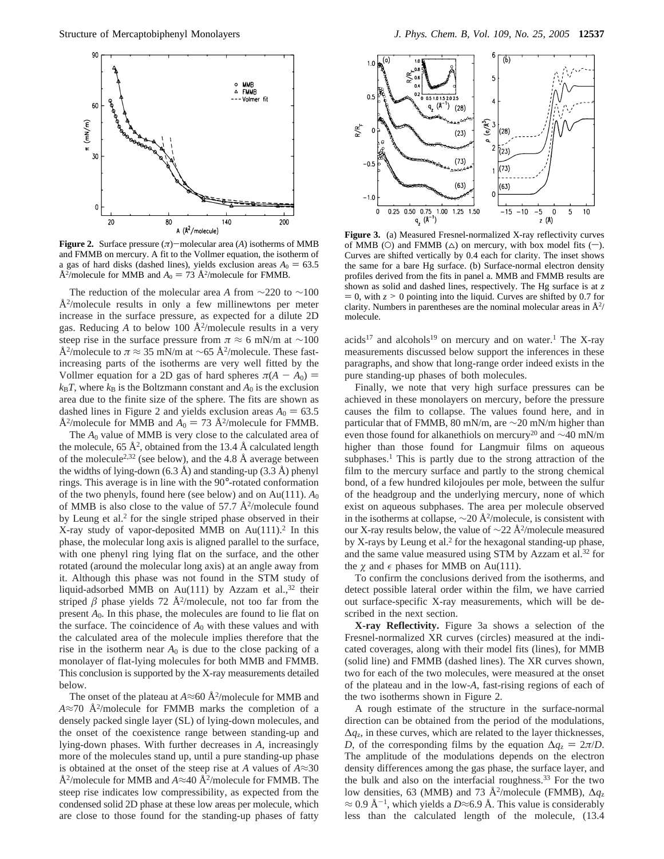

**Figure 2.** Surface pressure  $(π)$  - molecular area  $(A)$  isotherms of MMB and FMMB on mercury. A fit to the Vollmer equation, the isotherm of a gas of hard disks (dashed lines), yields exclusion areas  $A_0 = 63.5$  $\AA^2$ /molecule for MMB and  $A_0 = 73 \text{ Å}^2$ /molecule for FMMB.

The reduction of the molecular area *A* from ∼220 to ∼100  $A<sup>2</sup>/molecule$  results in only a few millinewtons per meter increase in the surface pressure, as expected for a dilute 2D gas. Reducing A to below 100  $\AA^2$ /molecule results in a very steep rise in the surface pressure from  $\pi \approx 6$  mN/m at ~100 Å<sup>2</sup>/molecule to  $\pi \approx 35$  mN/m at ~65 Å<sup>2</sup>/molecule. These fastincreasing parts of the isotherms are very well fitted by the Vollmer equation for a 2D gas of hard spheres  $\pi(A - A_0)$  =  $k_B T$ , where  $k_B$  is the Boltzmann constant and  $A_0$  is the exclusion area due to the finite size of the sphere. The fits are shown as dashed lines in Figure 2 and yields exclusion areas  $A_0 = 63.5$  $\AA^2$ /molecule for MMB and  $A_0 = 73 \AA^2$ /molecule for FMMB.

The *A*<sup>0</sup> value of MMB is very close to the calculated area of the molecule, 65  $\AA^2$ , obtained from the 13.4  $\AA$  calculated length of the molecule2,32 (see below), and the 4.8 Å average between the widths of lying-down (6.3 Å) and standing-up (3.3 Å) phenyl rings. This average is in line with the 90°-rotated conformation of the two phenyls, found here (see below) and on Au(111). *A*<sup>0</sup> of MMB is also close to the value of 57.7  $\AA^2$ /molecule found by Leung et al.<sup>2</sup> for the single striped phase observed in their X-ray study of vapor-deposited MMB on  $Au(111).<sup>2</sup>$  In this phase, the molecular long axis is aligned parallel to the surface, with one phenyl ring lying flat on the surface, and the other rotated (around the molecular long axis) at an angle away from it. Although this phase was not found in the STM study of liquid-adsorbed MMB on Au(111) by Azzam et al.,  $32$  their striped  $\beta$  phase yields 72 Å<sup>2</sup>/molecule, not too far from the present *A*0. In this phase, the molecules are found to lie flat on the surface. The coincidence of  $A_0$  with these values and with the calculated area of the molecule implies therefore that the rise in the isotherm near  $A_0$  is due to the close packing of a monolayer of flat-lying molecules for both MMB and FMMB. This conclusion is supported by the X-ray measurements detailed below.

The onset of the plateau at *A*≈60 Å2/molecule for MMB and *A*≈70 Å2/molecule for FMMB marks the completion of a densely packed single layer (SL) of lying-down molecules, and the onset of the coexistence range between standing-up and lying-down phases. With further decreases in *A*, increasingly more of the molecules stand up, until a pure standing-up phase is obtained at the onset of the steep rise at *A* values of *A*≈30 Å2/molecule for MMB and *A*≈40 Å2/molecule for FMMB. The steep rise indicates low compressibility, as expected from the condensed solid 2D phase at these low areas per molecule, which are close to those found for the standing-up phases of fatty



**Figure 3.** (a) Measured Fresnel-normalized X-ray reflectivity curves of MMB (O) and FMMB ( $\triangle$ ) on mercury, with box model fits (-). Curves are shifted vertically by 0.4 each for clarity. The inset shows the same for a bare Hg surface. (b) Surface-normal electron density profiles derived from the fits in panel a. MMB and FMMB results are shown as solid and dashed lines, respectively. The Hg surface is at *z*  $= 0$ , with  $z \ge 0$  pointing into the liquid. Curves are shifted by 0.7 for clarity. Numbers in parentheses are the nominal molecular areas in  $\AA^2$ / molecule.

acids<sup>17</sup> and alcohols<sup>19</sup> on mercury and on water.<sup>1</sup> The X-ray measurements discussed below support the inferences in these paragraphs, and show that long-range order indeed exists in the pure standing-up phases of both molecules.

Finally, we note that very high surface pressures can be achieved in these monolayers on mercury, before the pressure causes the film to collapse. The values found here, and in particular that of FMMB, 80 mN/m, are ∼20 mN/m higher than even those found for alkanethiols on mercury<sup>20</sup> and ∼40 mN/m higher than those found for Langmuir films on aqueous subphases.<sup>1</sup> This is partly due to the strong attraction of the film to the mercury surface and partly to the strong chemical bond, of a few hundred kilojoules per mole, between the sulfur of the headgroup and the underlying mercury, none of which exist on aqueous subphases. The area per molecule observed in the isotherms at collapse,  $\sim$ 20 Å<sup>2</sup>/molecule, is consistent with our X-ray results below, the value of  $\sim$ 22 Å<sup>2</sup>/molecule measured by X-rays by Leung et al.<sup>2</sup> for the hexagonal standing-up phase, and the same value measured using STM by Azzam et al.<sup>32</sup> for the  $\chi$  and  $\epsilon$  phases for MMB on Au(111).

To confirm the conclusions derived from the isotherms, and detect possible lateral order within the film, we have carried out surface-specific X-ray measurements, which will be described in the next section.

**X-ray Reflectivity.** Figure 3a shows a selection of the Fresnel-normalized XR curves (circles) measured at the indicated coverages, along with their model fits (lines), for MMB (solid line) and FMMB (dashed lines). The XR curves shown, two for each of the two molecules, were measured at the onset of the plateau and in the low-*A*, fast-rising regions of each of the two isotherms shown in Figure 2.

A rough estimate of the structure in the surface-normal direction can be obtained from the period of the modulations,  $\Delta q_z$ , in these curves, which are related to the layer thicknesses, *D*, of the corresponding films by the equation  $\Delta q_z = 2\pi/D$ . The amplitude of the modulations depends on the electron density differences among the gas phase, the surface layer, and the bulk and also on the interfacial roughness.33 For the two low densities, 63 (MMB) and 73 Å2/molecule (FMMB), ∆*q*<sup>z</sup>  $\approx$  0.9 Å<sup>-1</sup>, which yields a *D* $\approx$ 6.9 Å. This value is considerably less than the calculated length of the molecule, (13.4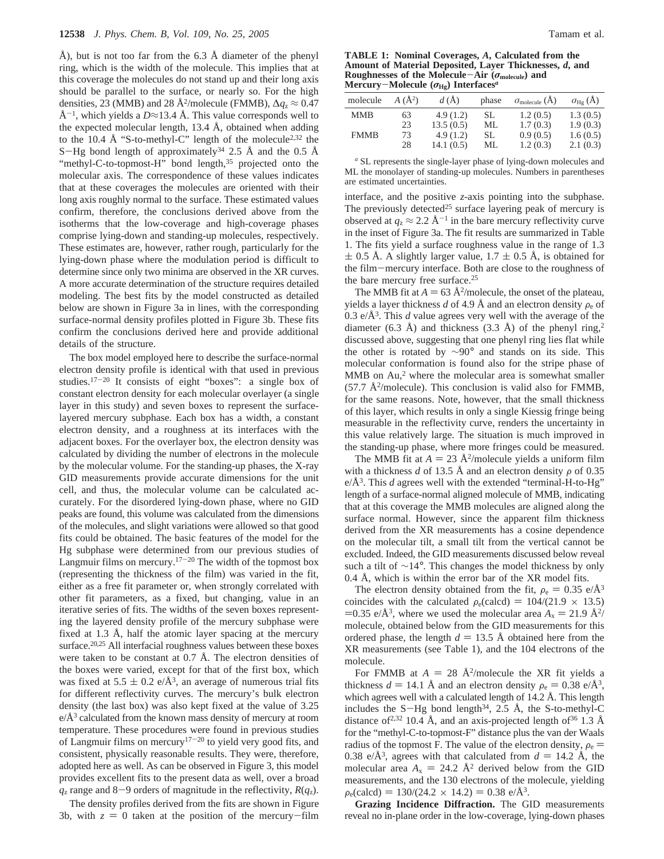Å), but is not too far from the 6.3 Å diameter of the phenyl ring, which is the width of the molecule. This implies that at this coverage the molecules do not stand up and their long axis should be parallel to the surface, or nearly so. For the high densities, 23 (MMB) and 28 Å<sup>2</sup>/molecule (FMMB),  $\Delta q_z \approx 0.47$ Å<sup>-1</sup>, which yields a  $D \approx 13.4$  Å. This value corresponds well to the expected molecular length, 13.4 Å, obtained when adding to the 10.4 Å "S-to-methyl-C" length of the molecule<sup>2,32</sup> the S-Hg bond length of approximately<sup>34</sup> 2.5 Å and the 0.5 Å "methyl-C-to-topmost-H" bond length,<sup>35</sup> projected onto the molecular axis. The correspondence of these values indicates that at these coverages the molecules are oriented with their long axis roughly normal to the surface. These estimated values confirm, therefore, the conclusions derived above from the isotherms that the low-coverage and high-coverage phases comprise lying-down and standing-up molecules, respectively. These estimates are, however, rather rough, particularly for the lying-down phase where the modulation period is difficult to determine since only two minima are observed in the XR curves. A more accurate determination of the structure requires detailed modeling. The best fits by the model constructed as detailed below are shown in Figure 3a in lines, with the corresponding surface-normal density profiles plotted in Figure 3b. These fits confirm the conclusions derived here and provide additional details of the structure.

The box model employed here to describe the surface-normal electron density profile is identical with that used in previous studies.17-<sup>20</sup> It consists of eight "boxes": a single box of constant electron density for each molecular overlayer (a single layer in this study) and seven boxes to represent the surfacelayered mercury subphase. Each box has a width, a constant electron density, and a roughness at its interfaces with the adjacent boxes. For the overlayer box, the electron density was calculated by dividing the number of electrons in the molecule by the molecular volume. For the standing-up phases, the X-ray GID measurements provide accurate dimensions for the unit cell, and thus, the molecular volume can be calculated accurately. For the disordered lying-down phase, where no GID peaks are found, this volume was calculated from the dimensions of the molecules, and slight variations were allowed so that good fits could be obtained. The basic features of the model for the Hg subphase were determined from our previous studies of Langmuir films on mercury.<sup>17-20</sup> The width of the topmost box (representing the thickness of the film) was varied in the fit, either as a free fit parameter or, when strongly correlated with other fit parameters, as a fixed, but changing, value in an iterative series of fits. The widths of the seven boxes representing the layered density profile of the mercury subphase were fixed at 1.3 Å, half the atomic layer spacing at the mercury surface.<sup>20,25</sup> All interfacial roughness values between these boxes were taken to be constant at  $0.7 \text{ Å}$ . The electron densities of the boxes were varied, except for that of the first box, which was fixed at  $5.5 \pm 0.2$  e/Å<sup>3</sup>, an average of numerous trial fits for different reflectivity curves. The mercury's bulk electron density (the last box) was also kept fixed at the value of 3.25  $e/\tilde{A}^3$  calculated from the known mass density of mercury at room temperature. These procedures were found in previous studies of Langmuir films on mercury<sup>17-20</sup> to yield very good fits, and consistent, physically reasonable results. They were, therefore, adopted here as well. As can be observed in Figure 3, this model provides excellent fits to the present data as well, over a broad  $q$ <sub>z</sub> range and 8-9 orders of magnitude in the reflectivity,  $R(q)$ .

The density profiles derived from the fits are shown in Figure 3b, with  $z = 0$  taken at the position of the mercury-film

**TABLE 1: Nominal Coverages,** *A***, Calculated from the Amount of Material Deposited, Layer Thicknesses,** *d***, and Roughnesses of the Molecule**-**Air (***σ***molecule) and Mercury**-**Molecule (***σ***Hg) Interfaces***<sup>a</sup>*

| molecule    | $A(\AA^2)$ | d(A)      | phase | $\sigma_{\text{molecule}}(\check{A})$ | $\sigma_{\text{He}}(\text{A})$ |
|-------------|------------|-----------|-------|---------------------------------------|--------------------------------|
| <b>MMB</b>  | 63         | 4.9(1.2)  | SL    | 1.2(0.5)                              | 1.3(0.5)                       |
|             | 23         | 13.5(0.5) | МL    | 1.7(0.3)                              | 1.9(0.3)                       |
| <b>FMMB</b> | 73         | 4.9(1.2)  | SL    | 0.9(0.5)                              | 1.6(0.5)                       |
|             | 28         | 14.1(0.5) | МL    | 1.2(0.3)                              | 2.1(0.3)                       |
|             |            |           |       |                                       |                                |

*<sup>a</sup>* SL represents the single-layer phase of lying-down molecules and ML the monolayer of standing-up molecules. Numbers in parentheses are estimated uncertainties.

interface, and the positive *z*-axis pointing into the subphase. The previously detected<sup>25</sup> surface layering peak of mercury is observed at  $q_z \approx 2.2 \text{ Å}^{-1}$  in the bare mercury reflectivity curve in the inset of Figure 3a. The fit results are summarized in Table 1. The fits yield a surface roughness value in the range of 1.3  $\pm$  0.5 Å. A slightly larger value, 1.7  $\pm$  0.5 Å, is obtained for the film-mercury interface. Both are close to the roughness of the bare mercury free surface.25

The MMB fit at  $A = 63 \text{ Å}^2/\text{molecule}$ , the onset of the plateau, yields a layer thickness *d* of 4.9 Å and an electron density  $\rho_e$  of 0.3  $e/\AA$ <sup>3</sup>. This *d* value agrees very well with the average of the diameter (6.3 Å) and thickness (3.3 Å) of the phenyl ring,<sup>2</sup> discussed above, suggesting that one phenyl ring lies flat while the other is rotated by ∼90° and stands on its side. This molecular conformation is found also for the stripe phase of MMB on Au,<sup>2</sup> where the molecular area is somewhat smaller  $(57.7 \text{ Å}^2/\text{molecule})$ . This conclusion is valid also for FMMB, for the same reasons. Note, however, that the small thickness of this layer, which results in only a single Kiessig fringe being measurable in the reflectivity curve, renders the uncertainty in this value relatively large. The situation is much improved in the standing-up phase, where more fringes could be measured.

The MMB fit at  $A = 23 \text{ Å}^2/\text{molecule}$  yields a uniform film with a thickness *d* of 13.5 Å and an electron density  $\rho$  of 0.35  $e/\AA$ <sup>3</sup>. This *d* agrees well with the extended "terminal-H-to-Hg" length of a surface-normal aligned molecule of MMB, indicating that at this coverage the MMB molecules are aligned along the surface normal. However, since the apparent film thickness derived from the XR measurements has a cosine dependence on the molecular tilt, a small tilt from the vertical cannot be excluded. Indeed, the GID measurements discussed below reveal such a tilt of ∼14°. This changes the model thickness by only 0.4 Å, which is within the error bar of the XR model fits.

The electron density obtained from the fit,  $\rho_e = 0.35 \text{ e}/\text{\AA}^3$ coincides with the calculated  $\rho_e$ (calcd) = 104/(21.9 × 13.5) =0.35 e/ $\AA^3$ , where we used the molecular area  $A_x = 21.9 \text{ }\AA^2$ / molecule, obtained below from the GID measurements for this ordered phase, the length  $d = 13.5$  Å obtained here from the XR measurements (see Table 1), and the 104 electrons of the molecule.

For FMMB at  $A = 28$   $\AA$ <sup>2</sup>/molecule the XR fit yields a thickness  $d = 14.1$  Å and an electron density  $\rho_e = 0.38 \text{ e}/\text{\AA}^3$ , which agrees well with a calculated length of 14.2 Å. This length includes the S-Hg bond length<sup>34</sup>, 2.5 Å, the S-to-methyl-C distance of<sup>2,32</sup> 10.4 Å, and an axis-projected length of<sup>36</sup> 1.3 Å for the "methyl-C-to-topmost-F" distance plus the van der Waals radius of the topmost F. The value of the electron density,  $\rho_e$  = 0.38 e/ $\AA^3$ , agrees with that calculated from  $d = 14.2 \text{ Å}$ , the molecular area  $A_x = 24.2 \text{ Å}^2$  derived below from the GID measurements, and the 130 electrons of the molecule, yielding  $\rho_{\rm e}$ (calcd) = 130/(24.2 × 14.2) = 0.38 e/Å<sup>3</sup>.

**Grazing Incidence Diffraction.** The GID measurements reveal no in-plane order in the low-coverage, lying-down phases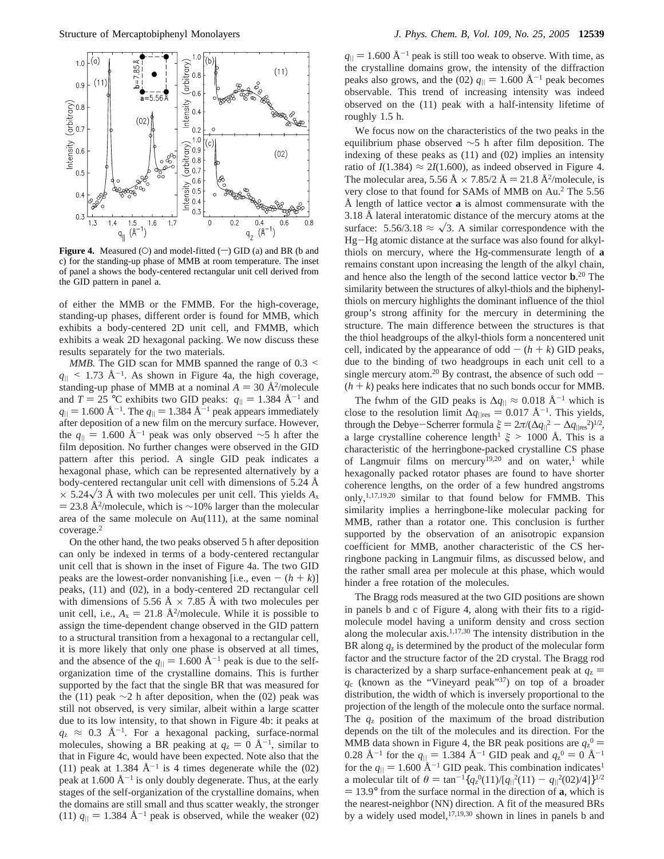

**Figure 4.** Measured ( $\circ$ ) and model-fitted ( $\circ$ ) GID (a) and BR (b and c) for the standing-up phase of MMB at room temperature. The inset of panel a shows the body-centered rectangular unit cell derived from the GID pattern in panel a.

of either the MMB or the FMMB. For the high-coverage, standing-up phases, different order is found for MMB, which exhibits a body-centered 2D unit cell, and FMMB, which exhibits a weak 2D hexagonal packing. We now discuss these results separately for the two materials.

*MMB.* The GID scan for MMB spanned the range of 0.3 <  $q_{\parallel}$  < 1.73 Å<sup>-1</sup>. As shown in Figure 4a, the high coverage, standing-up phase of MMB at a nominal  $A = 30 \text{ Å}^2/\text{molecule}$ and  $T = 25$  °C exhibits two GID peaks:  $q_{\parallel} = 1.384 \text{ Å}^{-1}$  and  $q_{\parallel} = 1.600 \text{ Å}^{-1}$ . The  $q_{\parallel} = 1.384 \text{ Å}^{-1}$  peak appears immediately after deposition of a new film on the mercury surface. However, the  $q_{\parallel} = 1.600 \text{ Å}^{-1}$  peak was only observed ∼5 h after the film deposition. No further changes were observed in the GID pattern after this period. A single GID peak indicates a hexagonal phase, which can be represented alternatively by a body-centered rectangular unit cell with dimensions of 5.24 Å  $\times$  5.24 $\sqrt{3}$  Å with two molecules per unit cell. This yields  $A_x$  $=$  23.8 Å<sup>2</sup>/molecule, which is ∼10% larger than the molecular area of the same molecule on Au(111), at the same nominal coverage.2

On the other hand, the two peaks observed 5 h after deposition can only be indexed in terms of a body-centered rectangular unit cell that is shown in the inset of Figure 4a. The two GID peaks are the lowest-order nonvanishing [i.e., even  $- (h + k)$ ] peaks, (11) and (02), in a body-centered 2D rectangular cell with dimensions of 5.56 Å  $\times$  7.85 Å with two molecules per unit cell, i.e.,  $A_x = 21.8$  Å<sup>2</sup>/molecule. While it is possible to assign the time-dependent change observed in the GID pattern to a structural transition from a hexagonal to a rectangular cell, it is more likely that only one phase is observed at all times, and the absence of the  $q_{\parallel} = 1.600 \text{ Å}^{-1}$  peak is due to the selforganization time of the crystalline domains. This is further supported by the fact that the single BR that was measured for the (11) peak  $\sim$ 2 h after deposition, when the (02) peak was still not observed, is very similar, albeit within a large scatter due to its low intensity, to that shown in Figure 4b: it peaks at  $q_z \approx 0.3 \text{ Å}^{-1}$ . For a hexagonal packing, surface-normal molecules, showing a BR peaking at  $q_z = 0$  Å<sup>-1</sup>, similar to that in Figure 4c, would have been expected. Note also that the (11) peak at 1.384  $\AA^{-1}$  is 4 times degenerate while the (02) peak at 1.600  $\AA^{-1}$  is only doubly degenerate. Thus, at the early stages of the self-organization of the crystalline domains, when the domains are still small and thus scatter weakly, the stronger (11)  $q_{\parallel} = 1.384 \text{ Å}^{-1}$  peak is observed, while the weaker (02)

 $q_{\parallel} = 1.600 \text{ Å}^{-1}$  peak is still too weak to observe. With time, as the crystalline domains grow, the intensity of the diffraction peaks also grows, and the (02)  $q_{\parallel} = 1.600 \text{ Å}^{-1}$  peak becomes observable. This trend of increasing intensity was indeed observed on the (11) peak with a half-intensity lifetime of roughly 1.5 h.

We focus now on the characteristics of the two peaks in the equilibrium phase observed ∼5 h after film deposition. The indexing of these peaks as (11) and (02) implies an intensity ratio of  $I(1.384) \approx 2I(1.600)$ , as indeed observed in Figure 4. The molecular area, 5.56 Å  $\times$  7.85/2 Å = 21.8 Å<sup>2</sup>/molecule, is very close to that found for SAMs of MMB on Au.2 The 5.56 Å length of lattice vector **a** is almost commensurate with the 3.18 Å lateral interatomic distance of the mercury atoms at the surface:  $5.56/3.18 \approx \sqrt{3}$ . A similar correspondence with the Hg-Hg atomic distance at the surface was also found for alkylthiols on mercury, where the Hg-commensurate length of **a** remains constant upon increasing the length of the alkyl chain, and hence also the length of the second lattice vector **b**. <sup>20</sup> The similarity between the structures of alkyl-thiols and the biphenylthiols on mercury highlights the dominant influence of the thiol group's strong affinity for the mercury in determining the structure. The main difference between the structures is that the thiol headgroups of the alkyl-thiols form a noncentered unit cell, indicated by the appearance of odd  $-(h + k)$  GID peaks, due to the binding of two headgroups in each unit cell to a single mercury atom.<sup>20</sup> By contrast, the absence of such odd  $(h + k)$  peaks here indicates that no such bonds occur for MMB.

The fwhm of the GID peaks is  $\Delta q_{\parallel} \approx 0.018 \text{ Å}^{-1}$  which is close to the resolution limit  $\Delta q_{\parallel \text{res}} = 0.017 \text{ Å}^{-1}$ . This yields, through the Debye-Scherrer formula  $\xi = 2\pi/(\Delta q_{\parallel}^2 - \Delta q_{\parallel \text{res}}^2)^{1/2}$ ,<br>a large crystalline coherence length<sup>1</sup>  $\xi > 1000$  Å. This is a a large crystalline coherence length<sup>1</sup>  $\xi$  > 1000 Å. This is a characteristic of the herringbone-packed crystalline CS phase of Langmuir films on mercury<sup>19,20</sup> and on water,<sup>1</sup> while hexagonally packed rotator phases are found to have shorter coherence lengths, on the order of a few hundred angstroms only,1,17,19,20 similar to that found below for FMMB. This similarity implies a herringbone-like molecular packing for MMB, rather than a rotator one. This conclusion is further supported by the observation of an anisotropic expansion coefficient for MMB, another characteristic of the CS herringbone packing in Langmuir films, as discussed below, and the rather small area per molecule at this phase, which would hinder a free rotation of the molecules.

The Bragg rods measured at the two GID positions are shown in panels b and c of Figure 4, along with their fits to a rigidmolecule model having a uniform density and cross section along the molecular  $axis$ <sup>1,17,30</sup> The intensity distribution in the BR along *q*<sup>z</sup> is determined by the product of the molecular form factor and the structure factor of the 2D crystal. The Bragg rod is characterized by a sharp surface-enhancement peak at  $q_z$  = *q*<sup>c</sup> (known as the "Vineyard peak"37) on top of a broader distribution, the width of which is inversely proportional to the projection of the length of the molecule onto the surface normal. The *q*<sup>z</sup> position of the maximum of the broad distribution depends on the tilt of the molecules and its direction. For the MMB data shown in Figure 4, the BR peak positions are  $q_z^0$ 0.28 Å<sup>-1</sup> for the  $q_{\parallel} = 1.384$  Å<sup>-1</sup> GID peak and  $q_z^0 = 0$  Å<sup>-1</sup> for the  $q_y = 1.600$  Å<sup>-1</sup> GID peak. This combination indicates<sup>1</sup> for the  $q_{\parallel} = 1.600 \text{ Å}^{-1}$  GID peak. This combination indicates<sup>1</sup> a molecular tilt of  $\theta = \tan^{-1}\left\{q_z^0(11)/[q_0]^2(11) - q_0^2(02)/4\right\}^{1/2}$ <br>= 13.9° from the surface normal in the direction of a which is  $= 13.9^{\circ}$  from the surface normal in the direction of **a**, which is the nearest-neighbor (NN) direction. A fit of the measured BRs by a widely used model,  $17,19,30$  shown in lines in panels b and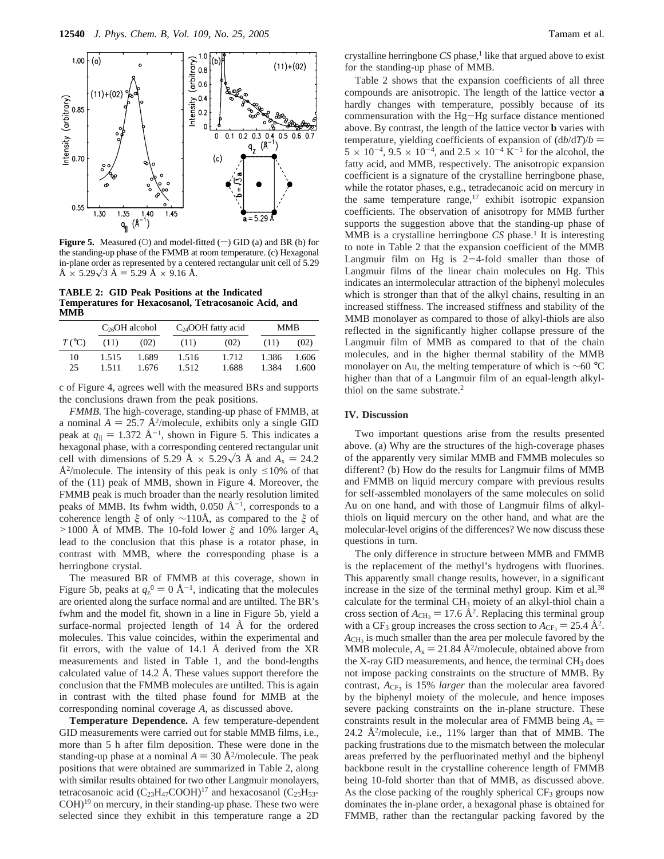

**Figure 5.** Measured (O) and model-fitted  $(-)$  GID (a) and BR (b) for the standing-up phase of the FMMB at room temperature. (c) Hexagonal in-plane order as represented by a centered rectangular unit cell of 5.29  $\AA \times 5.29\sqrt{3} \,\AA = 5.29 \,\AA \times 9.16 \,\AA.$ 

**TABLE 2: GID Peak Positions at the Indicated Temperatures for Hexacosanol, Tetracosanoic Acid, and MMB**

|                  |                | $C_{26}OH$ alcohol |                 | $C_{24}$ OOH fatty acid |                | <b>MMB</b>     |  |
|------------------|----------------|--------------------|-----------------|-------------------------|----------------|----------------|--|
| $T({}^{\circ}C)$ | (11)           | (02)               | (11)            | (02)                    | (11)           | (02)           |  |
| 10<br>25         | 1.515<br>1.511 | 1.689<br>1.676     | 1.516<br>1.512. | 1.712<br>1.688          | 1.386<br>1.384 | 1.606<br>1.600 |  |

c of Figure 4, agrees well with the measured BRs and supports the conclusions drawn from the peak positions.

*FMMB.* The high-coverage, standing-up phase of FMMB, at a nominal  $A = 25.7 \text{ Å}^2/\text{molecule}$ , exhibits only a single GID peak at  $q_{\parallel} = 1.372 \text{ Å}^{-1}$ , shown in Figure 5. This indicates a hexagonal phase, with a corresponding centered rectangular unit cell with dimensions of 5.29 Å  $\times$  5.29 $\sqrt{3}$  Å and  $A_x = 24.2$ Å<sup>2</sup>/molecule. The intensity of this peak is only  $\leq$ 10% of that of the (11) peak of MMB, shown in Figure 4. Moreover, the FMMB peak is much broader than the nearly resolution limited peaks of MMB. Its fwhm width, 0.050  $\rm \AA^{-1}$ , corresponds to a coherence length *ê* of only ∼110Å, as compared to the *ê* of  $>1000$  Å of MMB. The 10-fold lower  $\xi$  and 10% larger  $A_x$ lead to the conclusion that this phase is a rotator phase, in contrast with MMB, where the corresponding phase is a herringbone crystal.

The measured BR of FMMB at this coverage, shown in Figure 5b, peaks at  $q_z^0 = 0 \text{ Å}^{-1}$ , indicating that the molecules<br>are oriented along the surface normal and are untilted. The BR's are oriented along the surface normal and are untilted. The BR's fwhm and the model fit, shown in a line in Figure 5b, yield a surface-normal projected length of 14 Å for the ordered molecules. This value coincides, within the experimental and fit errors, with the value of 14.1 Å derived from the XR measurements and listed in Table 1, and the bond-lengths calculated value of 14.2 Å. These values support therefore the conclusion that the FMMB molecules are untilted. This is again in contrast with the tilted phase found for MMB at the corresponding nominal coverage *A*, as discussed above.

**Temperature Dependence.** A few temperature-dependent GID measurements were carried out for stable MMB films, i.e., more than 5 h after film deposition. These were done in the standing-up phase at a nominal  $A = 30 \text{ Å}^2/\text{molecule}$ . The peak positions that were obtained are summarized in Table 2, along with similar results obtained for two other Langmuir monolayers, tetracosanoic acid  $(C_{23}H_{47}COOH)^{17}$  and hexacosanol  $(C_{25}H_{53}$ - $COH$ <sup>19</sup> on mercury, in their standing-up phase. These two were selected since they exhibit in this temperature range a 2D crystalline herringbone  $CS$  phase,<sup>1</sup> like that argued above to exist for the standing-up phase of MMB.

Table 2 shows that the expansion coefficients of all three compounds are anisotropic. The length of the lattice vector **a** hardly changes with temperature, possibly because of its commensuration with the Hg-Hg surface distance mentioned above. By contrast, the length of the lattice vector **b** varies with temperature, yielding coefficients of expansion of  $\left(\frac{db}{dT}\right)/b$  $5 \times 10^{-4}$ ,  $9.5 \times 10^{-4}$ , and  $2.5 \times 10^{-4}$  K<sup>-1</sup> for the alcohol, the fatty acid, and MMB, respectively. The anisotropic expansion coefficient is a signature of the crystalline herringbone phase, while the rotator phases, e.g., tetradecanoic acid on mercury in the same temperature range,<sup>17</sup> exhibit isotropic expansion coefficients. The observation of anisotropy for MMB further supports the suggestion above that the standing-up phase of MMB is a crystalline herringbone *CS* phase.<sup>1</sup> It is interesting to note in Table 2 that the expansion coefficient of the MMB Langmuir film on Hg is 2-4-fold smaller than those of Langmuir films of the linear chain molecules on Hg. This indicates an intermolecular attraction of the biphenyl molecules which is stronger than that of the alkyl chains, resulting in an increased stiffness. The increased stiffness and stability of the MMB monolayer as compared to those of alkyl-thiols are also reflected in the significantly higher collapse pressure of the Langmuir film of MMB as compared to that of the chain molecules, and in the higher thermal stability of the MMB monolayer on Au, the melting temperature of which is ∼60 °C higher than that of a Langmuir film of an equal-length alkylthiol on the same substrate.2

#### **IV. Discussion**

Two important questions arise from the results presented above. (a) Why are the structures of the high-coverage phases of the apparently very similar MMB and FMMB molecules so different? (b) How do the results for Langmuir films of MMB and FMMB on liquid mercury compare with previous results for self-assembled monolayers of the same molecules on solid Au on one hand, and with those of Langmuir films of alkylthiols on liquid mercury on the other hand, and what are the molecular-level origins of the differences? We now discuss these questions in turn.

The only difference in structure between MMB and FMMB is the replacement of the methyl's hydrogens with fluorines. This apparently small change results, however, in a significant increase in the size of the terminal methyl group. Kim et al.<sup>38</sup> calculate for the terminal CH3 moiety of an alkyl-thiol chain a cross section of  $A_{\text{CH}_3}$  = 17.6 Å<sup>2</sup>. Replacing this terminal group with a CF<sub>3</sub> group increases the cross section to  $A_{CF_3} = 25.4 \text{ Å}^2$ .  $A_{\text{CH}_3}$  is much smaller than the area per molecule favored by the MMB molecule,  $A_x = 21.84 \text{ Å}^2/\text{molecule}$ , obtained above from the X-ray GID measurements, and hence, the terminal CH<sub>3</sub> does not impose packing constraints on the structure of MMB. By contrast,  $A_{CF_3}$  is 15% *larger* than the molecular area favored by the biphenyl moiety of the molecule, and hence imposes severe packing constraints on the in-plane structure. These constraints result in the molecular area of FMMB being  $A_x$  = 24.2  $\rm \AA^2$ /molecule, i.e., 11% larger than that of MMB. The packing frustrations due to the mismatch between the molecular areas preferred by the perfluorinated methyl and the biphenyl backbone result in the crystalline coherence length of FMMB being 10-fold shorter than that of MMB, as discussed above. As the close packing of the roughly spherical  $CF_3$  groups now dominates the in-plane order, a hexagonal phase is obtained for FMMB, rather than the rectangular packing favored by the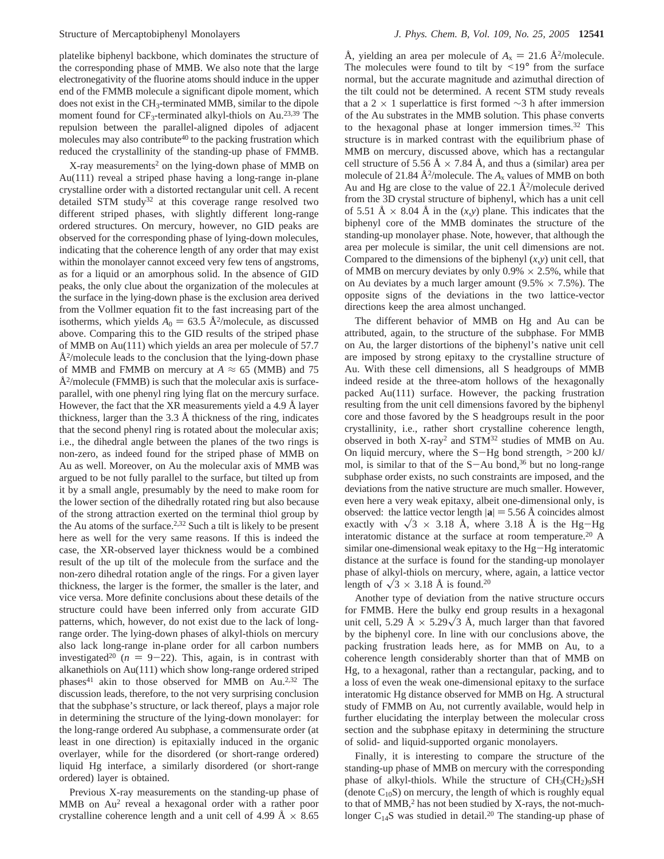platelike biphenyl backbone, which dominates the structure of the corresponding phase of MMB. We also note that the large electronegativity of the fluorine atoms should induce in the upper end of the FMMB molecule a significant dipole moment, which does not exist in the CH3-terminated MMB, similar to the dipole moment found for  $CF_3$ -terminated alkyl-thiols on Au.<sup>23,39</sup> The repulsion between the parallel-aligned dipoles of adjacent molecules may also contribute<sup>40</sup> to the packing frustration which reduced the crystallinity of the standing-up phase of FMMB.

 $X$ -ray measurements<sup>2</sup> on the lying-down phase of MMB on Au(111) reveal a striped phase having a long-range in-plane crystalline order with a distorted rectangular unit cell. A recent detailed STM study<sup>32</sup> at this coverage range resolved two different striped phases, with slightly different long-range ordered structures. On mercury, however, no GID peaks are observed for the corresponding phase of lying-down molecules, indicating that the coherence length of any order that may exist within the monolayer cannot exceed very few tens of angstroms, as for a liquid or an amorphous solid. In the absence of GID peaks, the only clue about the organization of the molecules at the surface in the lying-down phase is the exclusion area derived from the Vollmer equation fit to the fast increasing part of the isotherms, which yields  $A_0 = 63.5 \text{ Å}^2/\text{molecule}$ , as discussed above. Comparing this to the GID results of the striped phase of MMB on Au(111) which yields an area per molecule of 57.7  $A<sup>2</sup>/molecule$  leads to the conclusion that the lying-down phase of MMB and FMMB on mercury at  $A \approx 65$  (MMB) and 75  $A<sup>2</sup>/molecule (FMMB)$  is such that the molecular axis is surfaceparallel, with one phenyl ring lying flat on the mercury surface. However, the fact that the XR measurements yield a 4.9 Å layer thickness, larger than the  $3.3 \text{ Å}$  thickness of the ring, indicates that the second phenyl ring is rotated about the molecular axis; i.e., the dihedral angle between the planes of the two rings is non-zero, as indeed found for the striped phase of MMB on Au as well. Moreover, on Au the molecular axis of MMB was argued to be not fully parallel to the surface, but tilted up from it by a small angle, presumably by the need to make room for the lower section of the dihedrally rotated ring but also because of the strong attraction exerted on the terminal thiol group by the Au atoms of the surface.<sup>2,32</sup> Such a tilt is likely to be present here as well for the very same reasons. If this is indeed the case, the XR-observed layer thickness would be a combined result of the up tilt of the molecule from the surface and the non-zero dihedral rotation angle of the rings. For a given layer thickness, the larger is the former, the smaller is the later, and vice versa. More definite conclusions about these details of the structure could have been inferred only from accurate GID patterns, which, however, do not exist due to the lack of longrange order. The lying-down phases of alkyl-thiols on mercury also lack long-range in-plane order for all carbon numbers investigated<sup>20</sup> ( $n = 9-22$ ). This, again, is in contrast with alkanethiols on Au(111) which show long-range ordered striped phases<sup>41</sup> akin to those observed for MMB on Au.<sup>2,32</sup> The discussion leads, therefore, to the not very surprising conclusion that the subphase's structure, or lack thereof, plays a major role in determining the structure of the lying-down monolayer: for the long-range ordered Au subphase, a commensurate order (at least in one direction) is epitaxially induced in the organic overlayer, while for the disordered (or short-range ordered) liquid Hg interface, a similarly disordered (or short-range ordered) layer is obtained.

Previous X-ray measurements on the standing-up phase of MMB on Au2 reveal a hexagonal order with a rather poor crystalline coherence length and a unit cell of 4.99  $\AA \times 8.65$ 

Å, yielding an area per molecule of  $A_x = 21.6$  Å<sup>2</sup>/molecule. The molecules were found to tilt by  $\leq 19^\circ$  from the surface normal, but the accurate magnitude and azimuthal direction of the tilt could not be determined. A recent STM study reveals that a 2  $\times$  1 superlattice is first formed ∼3 h after immersion of the Au substrates in the MMB solution. This phase converts to the hexagonal phase at longer immersion times.32 This structure is in marked contrast with the equilibrium phase of MMB on mercury, discussed above, which has a rectangular cell structure of 5.56 Å  $\times$  7.84 Å, and thus a (similar) area per molecule of 21.84  $\AA^2$ /molecule. The  $A_x$  values of MMB on both Au and Hg are close to the value of 22.1  $\AA^2$ /molecule derived from the 3D crystal structure of biphenyl, which has a unit cell of 5.51 Å  $\times$  8.04 Å in the  $(x,y)$  plane. This indicates that the biphenyl core of the MMB dominates the structure of the standing-up monolayer phase. Note, however, that although the area per molecule is similar, the unit cell dimensions are not. Compared to the dimensions of the biphenyl  $(x, y)$  unit cell, that of MMB on mercury deviates by only  $0.9\% \times 2.5\%$ , while that on Au deviates by a much larger amount  $(9.5\% \times 7.5\%)$ . The opposite signs of the deviations in the two lattice-vector directions keep the area almost unchanged.

The different behavior of MMB on Hg and Au can be attributed, again, to the structure of the subphase. For MMB on Au, the larger distortions of the biphenyl's native unit cell are imposed by strong epitaxy to the crystalline structure of Au. With these cell dimensions, all S headgroups of MMB indeed reside at the three-atom hollows of the hexagonally packed Au(111) surface. However, the packing frustration resulting from the unit cell dimensions favored by the biphenyl core and those favored by the S headgroups result in the poor crystallinity, i.e., rather short crystalline coherence length, observed in both X-ray2 and STM32 studies of MMB on Au. On liquid mercury, where the  $S-Hg$  bond strength,  $>200$  kJ/ mol, is similar to that of the S-Au bond,<sup>36</sup> but no long-range subphase order exists, no such constraints are imposed, and the deviations from the native structure are much smaller. However, even here a very weak epitaxy, albeit one-dimensional only, is observed: the lattice vector length  $|\mathbf{a}| = 5.56 \text{ Å}$  coincides almost exactly with  $\sqrt{3} \times 3.18$  Å, where 3.18 Å is the Hg-Hg interatomic distance at the surface at room temperature.20 A similar one-dimensional weak epitaxy to the Hg-Hg interatomic distance at the surface is found for the standing-up monolayer phase of alkyl-thiols on mercury, where, again, a lattice vector length of  $\sqrt{3} \times 3.18$  Å is found.<sup>20</sup>

Another type of deviation from the native structure occurs for FMMB. Here the bulky end group results in a hexagonal unit cell, 5.29 Å  $\times$  5.29 $\sqrt{3}$  Å, much larger than that favored by the biphenyl core. In line with our conclusions above, the packing frustration leads here, as for MMB on Au, to a coherence length considerably shorter than that of MMB on Hg, to a hexagonal, rather than a rectangular, packing, and to a loss of even the weak one-dimensional epitaxy to the surface interatomic Hg distance observed for MMB on Hg. A structural study of FMMB on Au, not currently available, would help in further elucidating the interplay between the molecular cross section and the subphase epitaxy in determining the structure of solid- and liquid-supported organic monolayers.

Finally, it is interesting to compare the structure of the standing-up phase of MMB on mercury with the corresponding phase of alkyl-thiols. While the structure of  $CH<sub>3</sub>(CH<sub>2</sub>)<sub>9</sub>SH$ (denote  $C_{10}S$ ) on mercury, the length of which is roughly equal to that of  $MMB$ ,<sup>2</sup> has not been studied by X-rays, the not-muchlonger  $C_{14}S$  was studied in detail.<sup>20</sup> The standing-up phase of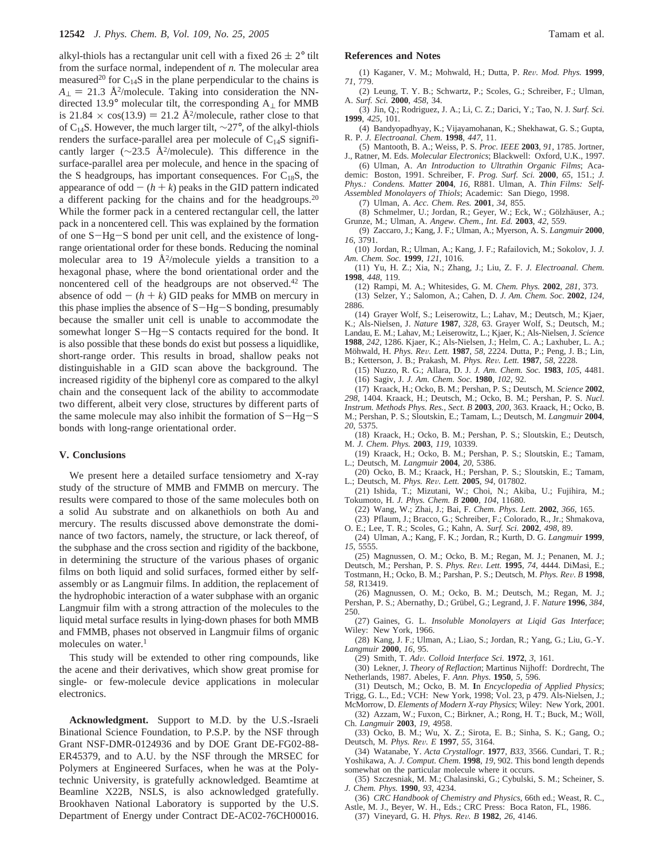alkyl-thiols has a rectangular unit cell with a fixed  $26 \pm 2^{\circ}$  tilt from the surface normal, independent of *n.* The molecular area measured<sup>20</sup> for  $C_{14}S$  in the plane perpendicular to the chains is  $A_{\perp}$  = 21.3 Å<sup>2</sup>/molecule. Taking into consideration the NNdirected 13.9° molecular tilt, the corresponding  $A<sub>⊥</sub>$  for MMB is 21.84  $\times$  cos(13.9) = 21.2 Å<sup>2</sup>/molecule, rather close to that of C14S. However, the much larger tilt, ∼27°, of the alkyl-thiols renders the surface-parallel area per molecule of  $C_{14}S$  significantly larger ( $\sim$ 23.5 Å<sup>2</sup>/molecule). This difference in the surface-parallel area per molecule, and hence in the spacing of the S headgroups, has important consequences. For  $C_{18}S$ , the appearance of odd  $- (h + k)$  peaks in the GID pattern indicated a different packing for the chains and for the headgroups.20 While the former pack in a centered rectangular cell, the latter pack in a noncentered cell. This was explained by the formation of one S-Hg-S bond per unit cell, and the existence of longrange orientational order for these bonds. Reducing the nominal molecular area to 19  $\AA^2$ /molecule yields a transition to a hexagonal phase, where the bond orientational order and the noncentered cell of the headgroups are not observed.42 The absence of odd  $- (h + k)$  GID peaks for MMB on mercury in this phase implies the absence of  $S-Hg-S$  bonding, presumably because the smaller unit cell is unable to accommodate the somewhat longer S-Hg-S contacts required for the bond. It is also possible that these bonds do exist but possess a liquidlike, short-range order. This results in broad, shallow peaks not distinguishable in a GID scan above the background. The increased rigidity of the biphenyl core as compared to the alkyl chain and the consequent lack of the ability to accommodate two different, albeit very close, structures by different parts of the same molecule may also inhibit the formation of  $S-Hg-S$ bonds with long-range orientational order.

#### **V. Conclusions**

We present here a detailed surface tensiometry and X-ray study of the structure of MMB and FMMB on mercury. The results were compared to those of the same molecules both on a solid Au substrate and on alkanethiols on both Au and mercury. The results discussed above demonstrate the dominance of two factors, namely, the structure, or lack thereof, of the subphase and the cross section and rigidity of the backbone, in determining the structure of the various phases of organic films on both liquid and solid surfaces, formed either by selfassembly or as Langmuir films. In addition, the replacement of the hydrophobic interaction of a water subphase with an organic Langmuir film with a strong attraction of the molecules to the liquid metal surface results in lying-down phases for both MMB and FMMB, phases not observed in Langmuir films of organic molecules on water.<sup>1</sup>

This study will be extended to other ring compounds, like the acene and their derivatives, which show great promise for single- or few-molecule device applications in molecular electronics.

**Acknowledgment.** Support to M.D. by the U.S.-Israeli Binational Science Foundation, to P.S.P. by the NSF through Grant NSF-DMR-0124936 and by DOE Grant DE-FG02-88- ER45379, and to A.U. by the NSF through the MRSEC for Polymers at Engineered Surfaces, when he was at the Polytechnic University, is gratefully acknowledged. Beamtime at Beamline X22B, NSLS, is also acknowledged gratefully. Brookhaven National Laboratory is supported by the U.S. Department of Energy under Contract DE-AC02-76CH00016.

#### **References and Notes**

(1) Kaganer, V. M.; Mohwald, H.; Dutta, P. *Re*V*. Mod. Phys.* **<sup>1999</sup>**, *71*, 779.

(2) Leung, T. Y. B.; Schwartz, P.; Scoles, G.; Schreiber, F.; Ulman, A. *Surf. Sci.* **2000**, *458*, 34.

(3) Jin, Q.; Rodriguez, J. A.; Li, C. Z.; Darici, Y.; Tao, N. J. *Surf. Sci.* **1999**, *425*, 101.

(4) Bandyopadhyay, K.; Vijayamohanan, K.; Shekhawat, G. S.; Gupta, R. P. *J. Electroanal. Chem.* **1998**, *447*, 11.

(5) Mantooth, B. A.; Weiss, P. S. *Proc. IEEE* **2003**, *91*, 1785. Jortner, J., Ratner, M. Eds. *Molecular Electronics*; Blackwell: Oxford, U.K., 1997.

(6) Ulman, A. *An Introduction to Ultrathin Organic Films*; Academic: Boston, 1991. Schreiber, F. *Prog. Surf. Sci.* **2000**, *65*, 151.; *J.*

*Phys.: Condens. Matter* **2004**, *16*, R881. Ulman, A. *Thin Films: Self-*

*Assembled Monolayers of Thiols*; Academic: San Diego, 1998.

(7) Ulman, A. *Acc. Chem. Res.* **2001**, *34*, 855.

(8) Schmelmer, U.; Jordan, R.; Geyer, W.; Eck, W.; Gölzhäuser, A.; Grunze, M.; Ulman, A. *Angew. Chem.*, *Int. Ed.* **2003**, *42*, 559.

(9) Zaccaro, J.; Kang, J. F.; Ulman, A.; Myerson, A. S. *Langmuir* **2000**, *16*, 3791.

(10) Jordan, R.; Ulman, A.; Kang, J. F.; Rafailovich, M.; Sokolov, J. *J. Am. Chem. Soc.* **1999**, *121*, 1016.

(11) Yu, H. Z.; Xia, N.; Zhang, J.; Liu, Z. F. *J. Electroanal. Chem.* **1998**, *448*, 119.

(12) Rampi, M. A.; Whitesides, G. M. *Chem. Phys.* **2002**, *281*, 373. (13) Selzer, Y.; Salomon, A.; Cahen, D. *J. Am. Chem. Soc.* **2002**, *124*, 2886.

(14) Grayer Wolf, S.; Leiserowitz, L.; Lahav, M.; Deutsch, M.; Kjaer, K.; Als-Nielsen, J. *Nature* **1987**, *328*, 63. Grayer Wolf, S.; Deutsch, M.; Landau, E. M.; Lahav, M.; Leiserowitz, L.; Kjaer, K.; Als-Nielsen, J. *Science* **1988**, *242*, 1286. Kjaer, K.; Als-Nielsen, J.; Helm, C. A.; Laxhuber, L. A.; Möhwald, H. *Phys. Rev. Lett.* **1987**, 58, 2224. Dutta, P.; Peng, J. B.; Lin, B.; Ketterson, J. B.; Prakash, M. *Phys. Re*V*. Lett.* **<sup>1987</sup>**, *<sup>58</sup>*, 2228.

(15) Nuzzo, R. G.; Allara, D. J. *J. Am. Chem. Soc.* **1983**, *105*, 4481. (16) Sagiv, J. *J. Am. Chem. Soc.* **1980**, *102*, 92.

(17) Kraack, H.; Ocko, B. M.; Pershan, P. S.; Deutsch, M. *Science* **2002**, *298*, 1404. Kraack, H.; Deutsch, M.; Ocko, B. M.; Pershan, P. S. *Nucl. Instrum. Methods Phys. Res., Sect. B* **2003**, *200*, 363. Kraack, H.; Ocko, B. M.; Pershan, P. S.; Sloutskin, E.; Tamam, L.; Deutsch, M. *Langmuir* **2004**, *20*, 5375.

(18) Kraack, H.; Ocko, B. M.; Pershan, P. S.; Sloutskin, E.; Deutsch, M. *J. Chem. Phys.* **2003**, *119*, 10339.

(19) Kraack, H.; Ocko, B. M.; Pershan, P. S.; Sloutskin, E.; Tamam, L.; Deutsch, M. *Langmuir* **2004**, *20*, 5386.

(20) Ocko, B. M.; Kraack, H.; Pershan, P. S.; Sloutskin, E.; Tamam, L.; Deutsch, M. *Phys. Re*V*. Lett.* **<sup>2005</sup>**, *<sup>94</sup>*, 017802.

(21) Ishida, T.; Mizutani, W.; Choi, N.; Akiba, U.; Fujihira, M.; Tokumoto, H. *J. Phys. Chem. B* **2000**, *104*, 11680.

(22) Wang, W.; Zhai, J.; Bai, F. *Chem. Phys. Lett.* **2002**, *366*, 165.

(23) Pflaum, J.; Bracco, G.; Schreiber, F.; Colorado, R., Jr.; Shmakova, O. E.; Lee, T. R.; Scoles, G.; Kahn, A. *Surf. Sci.* **2002**, *498*, 89.

(24) Ulman, A.; Kang, F. K.; Jordan, R.; Kurth, D. G. *Langmuir* **1999**, *15*, 5555.

(25) Magnussen, O. M.; Ocko, B. M.; Regan, M. J.; Penanen, M. J.; Deutsch, M.; Pershan, P. S. *Phys. Re*V*. Lett.* **<sup>1995</sup>**, *<sup>74</sup>*, 4444. DiMasi, E.; Tostmann, H.; Ocko, B. M.; Parshan, P. S.; Deutsch, M. *Phys. Re*V. *<sup>B</sup>* **<sup>1998</sup>**, *58*, R13419.

(26) Magnussen, O. M.; Ocko, B. M.; Deutsch, M.; Regan, M. J.; Pershan, P. S.; Abernathy, D.; Grübel, G.; Legrand, J. F. *Nature* 1996, 384, 250.

(27) Gaines, G. L. *Insoluble Monolayers at Liqid Gas Interface*; Wiley: New York, 1966.

(28) Kang, J. F.; Ulman, A.; Liao, S.; Jordan, R.; Yang, G.; Liu, G.-Y. *Langmuir* **2000**, *16*, 95.

(29) Smith, T. *Ad*V*. Colloid Interface Sci.* **<sup>1972</sup>**, *<sup>3</sup>*, 161.

(30) Lekner, J. *Theory of Reflaction*; Martinus Nijhoff: Dordrecht, The Netherlands, 1987. Abeles, F. *Ann. Phys*. **1950**, *5*, 596.

(31) Deutsch, M.; Ocko, B. M. **I**n *Encyclopedia of Applied Physics*; Trigg, G. L., Ed.; VCH: New York, 1998; Vol. 23, p 479. Als-Nielsen, J.;

McMorrow, D. *Elements of Modern X-ray Physics*; Wiley: New York, 2001.

(32) Azzam, W.; Fuxon, C.; Birkner, A.; Rong, H. T.; Buck, M.; Wöll, Ch. *Langmuir* **2003**, *19*, 4958.

(33) Ocko, B. M.; Wu, X. Z.; Sirota, E. B.; Sinha, S. K.; Gang, O.; Deutsch, M. *Phys. Re*V*. E* **<sup>1997</sup>**, *<sup>55</sup>*, 3164.

(34) Watanabe, Y. *Acta Crystallogr.* **1977**, *B33*, 3566. Cundari, T. R.; Yoshikawa, A. *J. Comput. Chem.* **1998**, *19*, 902. This bond length depends somewhat on the particular molecule where it occurs.

(35) Szczesniak, M. M.; Chalasinski, G.; Cybulski, S. M.; Scheiner, S. *J. Chem. Phys.* **1990**, *93*, 4234.

(36) *CRC Handbook of Chemistry and Physics*, 66th ed.; Weast, R. C., Astle, M. J., Beyer, W. H., Eds.; CRC Press: Boca Raton, FL, 1986.

(37) Vineyard, G. H. *Phys. Re*V*. B* **<sup>1982</sup>**, *<sup>26</sup>*, 4146.